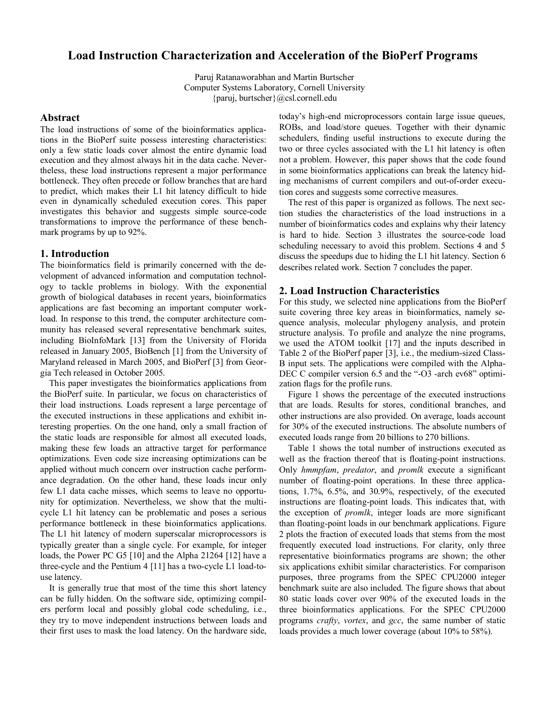# **Load Instruction Characterization and Acceleration of the BioPerf Programs**

Paruj Ratanaworabhan and Martin Burtscher Computer Systems Laboratory, Cornell University {paruj, burtscher}@csl.cornell.edu

# **Abstract**

The load instructions of some of the bioinformatics applications in the BioPerf suite possess interesting characteristics: only a few static loads cover almost the entire dynamic load execution and they almost always hit in the data cache. Nevertheless, these load instructions represent a major performance bottleneck. They often precede or follow branches that are hard to predict, which makes their L1 hit latency difficult to hide even in dynamically scheduled execution cores. This paper investigates this behavior and suggests simple source-code transformations to improve the performance of these benchmark programs by up to 92%.

## **1. Introduction**

The bioinformatics field is primarily concerned with the development of advanced information and computation technology to tackle problems in biology. With the exponential growth of biological databases in recent years, bioinformatics applications are fast becoming an important computer workload. In response to this trend, the computer architecture community has released several representative benchmark suites, including BioInfoMark [13] from the University of Florida released in January 2005, BioBench [1] from the University of Maryland released in March 2005, and BioPerf [3] from Georgia Tech released in October 2005.

This paper investigates the bioinformatics applications from the BioPerf suite. In particular, we focus on characteristics of their load instructions. Loads represent a large percentage of the executed instructions in these applications and exhibit interesting properties. On the one hand, only a small fraction of the static loads are responsible for almost all executed loads, making these few loads an attractive target for performance optimizations. Even code size increasing optimizations can be applied without much concern over instruction cache performance degradation. On the other hand, these loads incur only few L1 data cache misses, which seems to leave no opportunity for optimization. Nevertheless, we show that the multicycle L1 hit latency can be problematic and poses a serious performance bottleneck in these bioinformatics applications. The L1 hit latency of modern superscalar microprocessors is typically greater than a single cycle. For example, for integer loads, the Power PC G5 [10] and the Alpha 21264 [12] have a three-cycle and the Pentium 4 [11] has a two-cycle L1 load-touse latency.

It is generally true that most of the time this short latency can be fully hidden. On the software side, optimizing compilers perform local and possibly global code scheduling, i.e., they try to move independent instructions between loads and their first uses to mask the load latency. On the hardware side, today's high-end microprocessors contain large issue queues, ROBs, and load/store queues. Together with their dynamic schedulers, finding useful instructions to execute during the two or three cycles associated with the L1 hit latency is often not a problem. However, this paper shows that the code found in some bioinformatics applications can break the latency hiding mechanisms of current compilers and out-of-order execution cores and suggests some corrective measures.

The rest of this paper is organized as follows. The next section studies the characteristics of the load instructions in a number of bioinformatics codes and explains why their latency is hard to hide. Section 3 illustrates the source-code load scheduling necessary to avoid this problem. Sections 4 and 5 discuss the speedups due to hiding the L1 hit latency. Section 6 describes related work. Section 7 concludes the paper.

# **2. Load Instruction Characteristics**

For this study, we selected nine applications from the BioPerf suite covering three key areas in bioinformatics, namely sequence analysis, molecular phylogeny analysis, and protein structure analysis. To profile and analyze the nine programs, we used the ATOM toolkit [17] and the inputs described in Table 2 of the BioPerf paper [3], i.e., the medium-sized Class-B input sets. The applications were compiled with the Alpha-DEC C compiler version 6.5 and the "-O3 -arch ev68" optimization flags for the profile runs.

Figure 1 shows the percentage of the executed instructions that are loads. Results for stores, conditional branches, and other instructions are also provided. On average, loads account for 30% of the executed instructions. The absolute numbers of executed loads range from 20 billions to 270 billions.

Table 1 shows the total number of instructions executed as well as the fraction thereof that is floating-point instructions. Only *hmmpfam*, *predator*, and *promlk* execute a significant number of floating-point operations. In these three applications, 1.7%, 6.5%, and 30.9%, respectively, of the executed instructions are floating-point loads. This indicates that, with the exception of *promlk*, integer loads are more significant than floating-point loads in our benchmark applications. Figure 2 plots the fraction of executed loads that stems from the most frequently executed load instructions. For clarity, only three representative bioinformatics programs are shown; the other six applications exhibit similar characteristics. For comparison purposes, three programs from the SPEC CPU2000 integer benchmark suite are also included. The figure shows that about 80 static loads cover over 90% of the executed loads in the three bioinformatics applications. For the SPEC CPU2000 programs *crafty*, *vortex*, and *gcc*, the same number of static loads provides a much lower coverage (about 10% to 58%).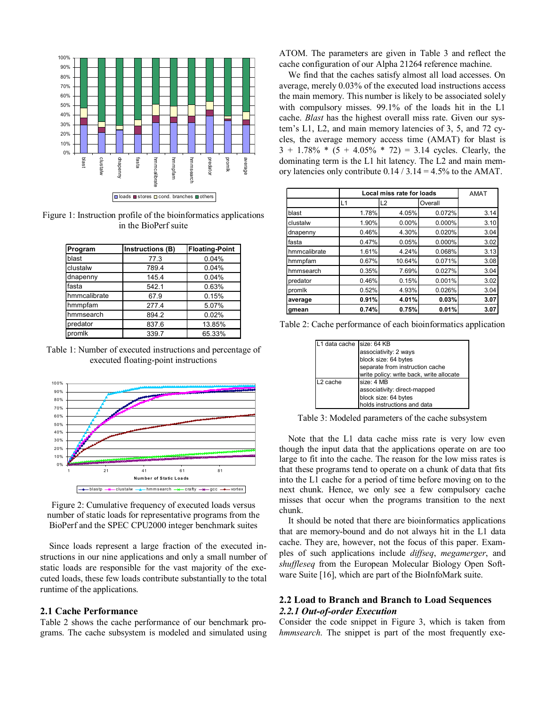

Figure 1: Instruction profile of the bioinformatics applications in the BioPerf suite

| Program      | Instructions (B) | <b>Floating-Point</b> |
|--------------|------------------|-----------------------|
| blast        | 77.3             | 0.04%                 |
| clustalw     | 789.4            | 0.04%                 |
| dnapenny     | 145.4            | 0.04%                 |
| fasta        | 542.1            | 0.63%                 |
| hmmcalibrate | 67.9             | 0.15%                 |
| hmmpfam      | 277.4            | 5.07%                 |
| hmmsearch    | 894.2            | 0.02%                 |
| predator     | 837.6            | 13.85%                |
| promlk       | 339.7            | 65.33%                |

Table 1: Number of executed instructions and percentage of executed floating-point instructions



Figure 2: Cumulative frequency of executed loads versus number of static loads for representative programs from the BioPerf and the SPEC CPU2000 integer benchmark suites

Since loads represent a large fraction of the executed instructions in our nine applications and only a small number of static loads are responsible for the vast majority of the executed loads, these few loads contribute substantially to the total runtime of the applications.

#### **2.1 Cache Performance**

Table 2 shows the cache performance of our benchmark programs. The cache subsystem is modeled and simulated using ATOM. The parameters are given in Table 3 and reflect the cache configuration of our Alpha 21264 reference machine.

We find that the caches satisfy almost all load accesses. On average, merely 0.03% of the executed load instructions access the main memory. This number is likely to be associated solely with compulsory misses. 99.1% of the loads hit in the L1 cache. *Blast* has the highest overall miss rate. Given our system's L1, L2, and main memory latencies of 3, 5, and 72 cycles, the average memory access time (AMAT) for blast is  $3 + 1.78\% * (5 + 4.05\% * 72) = 3.14$  cycles. Clearly, the dominating term is the L1 hit latency. The L2 and main memory latencies only contribute  $0.14 / 3.14 = 4.5\%$  to the AMAT.

|              |       | Local miss rate for loads |         | AMAT |
|--------------|-------|---------------------------|---------|------|
|              | L1    | L2                        | Overall |      |
| blast        | 1.78% | 4.05%                     | 0.072%  | 3.14 |
| clustalw     | 1.90% | 0.00%                     | 0.000%  | 3.10 |
| dnapenny     | 0.46% | 4.30%                     | 0.020%  | 3.04 |
| fasta        | 0.47% | 0.05%                     | 0.000%  | 3.02 |
| hmmcalibrate | 1.61% | 4.24%                     | 0.068%  | 3.13 |
| hmmpfam      | 0.67% | 10.64%                    | 0.071%  | 3.08 |
| hmmsearch    | 0.35% | 7.69%                     | 0.027%  | 3.04 |
| predator     | 0.46% | 0.15%                     | 0.001%  | 3.02 |
| promlk       | 0.52% | 4.93%                     | 0.026%  | 3.04 |
| average      | 0.91% | 4.01%                     | 0.03%   | 3.07 |
| gmean        | 0.74% | 0.75%                     | 0.01%   | 3.07 |

Table 2: Cache performance of each bioinformatics application

| L1 data cache size: 64 KB |                                          |
|---------------------------|------------------------------------------|
|                           | associativity: 2 ways                    |
|                           | block size: 64 bytes                     |
|                           | separate from instruction cache          |
|                           | write policy: write back, write allocate |
| 1.2 cache                 | size: 4 MB                               |
|                           | associativity: direct-mapped             |
|                           | block size: 64 bytes                     |
|                           | holds instructions and data              |

Table 3: Modeled parameters of the cache subsystem

Note that the L1 data cache miss rate is very low even though the input data that the applications operate on are too large to fit into the cache. The reason for the low miss rates is that these programs tend to operate on a chunk of data that fits into the L1 cache for a period of time before moving on to the next chunk. Hence, we only see a few compulsory cache misses that occur when the programs transition to the next chunk.

It should be noted that there are bioinformatics applications that are memory-bound and do not always hit in the L1 data cache. They are, however, not the focus of this paper. Examples of such applications include *diffseq*, *megamerger*, and *shuffleseq* from the European Molecular Biology Open Software Suite [16], which are part of the BioInfoMark suite.

## **2.2 Load to Branch and Branch to Load Sequences**  *2.2.1 Out-of-order Execution*

Consider the code snippet in Figure 3, which is taken from *hmmsearch*. The snippet is part of the most frequently exe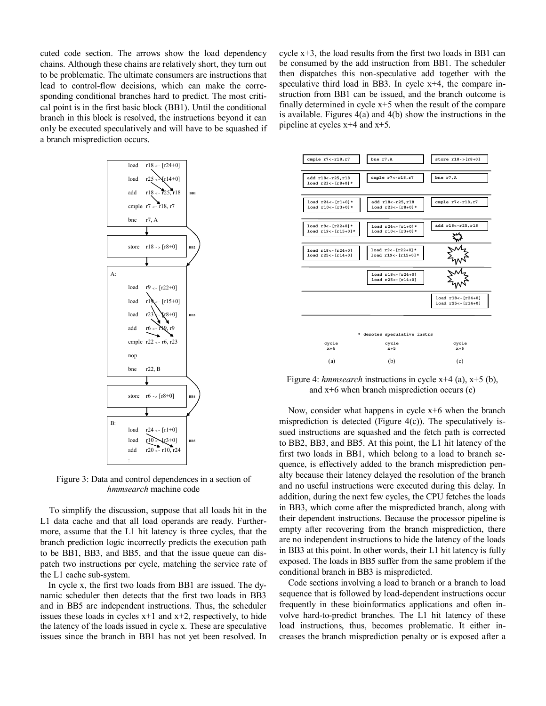cuted code section. The arrows show the load dependency chains. Although these chains are relatively short, they turn out to be problematic. The ultimate consumers are instructions that lead to control-flow decisions, which can make the corresponding conditional branches hard to predict. The most critical point is in the first basic block (BB1). Until the conditional branch in this block is resolved, the instructions beyond it can only be executed speculatively and will have to be squashed if a branch misprediction occurs.



Figure 3: Data and control dependences in a section of *hmmsearch* machine code

To simplify the discussion, suppose that all loads hit in the L1 data cache and that all load operands are ready. Furthermore, assume that the L1 hit latency is three cycles, that the branch prediction logic incorrectly predicts the execution path to be BB1, BB3, and BB5, and that the issue queue can dispatch two instructions per cycle, matching the service rate of the L1 cache sub-system.

In cycle x, the first two loads from BB1 are issued. The dynamic scheduler then detects that the first two loads in BB3 and in BB5 are independent instructions. Thus, the scheduler issues these loads in cycles  $x+1$  and  $x+2$ , respectively, to hide the latency of the loads issued in cycle x. These are speculative issues since the branch in BB1 has not yet been resolved. In cycle  $x+3$ , the load results from the first two loads in BB1 can be consumed by the add instruction from BB1. The scheduler then dispatches this non-speculative add together with the speculative third load in BB3. In cycle  $x+4$ , the compare instruction from BB1 can be issued, and the branch outcome is finally determined in cycle x+5 when the result of the compare is available. Figures 4(a) and 4(b) show the instructions in the pipeline at cycles x+4 and x+5.



Figure 4: *hmmsearch* instructions in cycle x+4 (a), x+5 (b), and x+6 when branch misprediction occurs (c)

Now, consider what happens in cycle x+6 when the branch misprediction is detected (Figure 4(c)). The speculatively issued instructions are squashed and the fetch path is corrected to BB2, BB3, and BB5. At this point, the L1 hit latency of the first two loads in BB1, which belong to a load to branch sequence, is effectively added to the branch misprediction penalty because their latency delayed the resolution of the branch and no useful instructions were executed during this delay. In addition, during the next few cycles, the CPU fetches the loads in BB3, which come after the mispredicted branch, along with their dependent instructions. Because the processor pipeline is empty after recovering from the branch misprediction, there are no independent instructions to hide the latency of the loads in BB3 at this point. In other words, their L1 hit latency is fully exposed. The loads in BB5 suffer from the same problem if the conditional branch in BB3 is mispredicted.

Code sections involving a load to branch or a branch to load sequence that is followed by load-dependent instructions occur frequently in these bioinformatics applications and often involve hard-to-predict branches. The L1 hit latency of these load instructions, thus, becomes problematic. It either increases the branch misprediction penalty or is exposed after a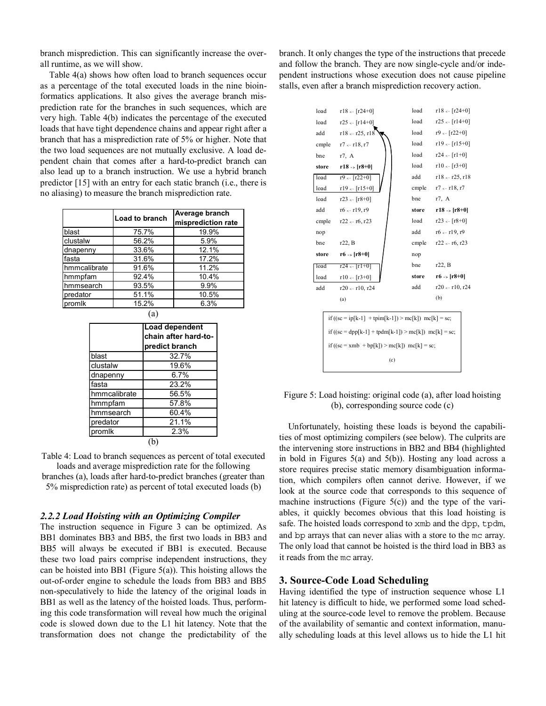branch misprediction. This can significantly increase the overall runtime, as we will show.

Table 4(a) shows how often load to branch sequences occur as a percentage of the total executed loads in the nine bioinformatics applications. It also gives the average branch misprediction rate for the branches in such sequences, which are very high. Table 4(b) indicates the percentage of the executed loads that have tight dependence chains and appear right after a branch that has a misprediction rate of 5% or higher. Note that the two load sequences are not mutually exclusive. A load dependent chain that comes after a hard-to-predict branch can also lead up to a branch instruction. We use a hybrid branch predictor [15] with an entry for each static branch (i.e., there is no aliasing) to measure the branch misprediction rate.

|              | Load to branch | Average branch<br>misprediction rate |
|--------------|----------------|--------------------------------------|
| blast        | 75.7%          | 19.9%                                |
| clustalw     | 56.2%          | 5.9%                                 |
| dnapenny     | 33.6%          | 12.1%                                |
| fasta        | 31.6%          | 17.2%                                |
| hmmcalibrate | 91.6%          | 11.2%                                |
| hmmpfam      | 92.4%          | 10.4%                                |
| hmmsearch    | 93.5%          | 9.9%                                 |
| predator     | 51.1%          | 10.5%                                |
| promlk       | 15.2%          | 6.3%                                 |

| ۰, |  |
|----|--|
|    |  |

|              | Load dependent<br>chain after hard-to-<br>predict branch |
|--------------|----------------------------------------------------------|
| blast        | 32.7%                                                    |
| clustalw     | 19.6%                                                    |
| dnapenny     | 6.7%                                                     |
| fasta        | 23.2%                                                    |
| hmmcalibrate | 56.5%                                                    |
| hmmpfam      | 57.8%                                                    |
| hmmsearch    | 60.4%                                                    |
| predator     | 21.1%                                                    |
| promlk       | 2.3%                                                     |
|              |                                                          |

Table 4: Load to branch sequences as percent of total executed loads and average misprediction rate for the following branches (a), loads after hard-to-predict branches (greater than 5% misprediction rate) as percent of total executed loads (b)

### *2.2.2 Load Hoisting with an Optimizing Compiler*

The instruction sequence in Figure 3 can be optimized. As BB1 dominates BB3 and BB5, the first two loads in BB3 and BB5 will always be executed if BB1 is executed. Because these two load pairs comprise independent instructions, they can be hoisted into BB1 (Figure  $5(a)$ ). This hoisting allows the out-of-order engine to schedule the loads from BB3 and BB5 non-speculatively to hide the latency of the original loads in BB1 as well as the latency of the hoisted loads. Thus, performing this code transformation will reveal how much the original code is slowed down due to the L1 hit latency. Note that the transformation does not change the predictability of the branch. It only changes the type of the instructions that precede and follow the branch. They are now single-cycle and/or independent instructions whose execution does not cause pipeline stalls, even after a branch misprediction recovery action.

| load  | $r18 \leftarrow [r24+0]$                               | load  | $r18 \leftarrow [r24+0]$     |
|-------|--------------------------------------------------------|-------|------------------------------|
| load  | $r25 \leftarrow [r14+0]$                               | load  | $r25 \leftarrow [r14+0]$     |
| add   | $r18 - r25, r18$                                       | load  | $r9 \leftarrow [r22+0]$      |
| cmple | $r7 - r18, r7$                                         | load  | $r19 \leftarrow [r15+0]$     |
| bne   | r7. A                                                  | load  | $r24 \leftarrow [r1+0]$      |
| store | $r18 \rightarrow [r8+0]$                               | load  | r10 <- $[r3+0]$              |
| load  | $r9 \leftarrow [r22+0]$                                | add   | $r18 - r25, r18$             |
| load  | $r19 \leftarrow [r15+0]$                               | cmple | $r7 - r18, r7$               |
| load  | $r23 \leftarrow [r8+0]$                                | bne   | r7, A                        |
| add   | $r6 \leftarrow r19, r9$                                | store | r18 -> $[r8+0]$              |
| cmple | $r22 \leftarrow r6, r23$                               | load  | r23 <- $[r8+0]$              |
| nop   |                                                        | add   | $r6 \leftarrow r19, r9$      |
| bne   | r22, B                                                 | cmple | $r22 \leftarrow r6, r23$     |
| store | $r6 \rightarrow [r8+0]$                                | nop   |                              |
| load  | $r24 \leftarrow [r1+0]$                                | bne   | r22, B                       |
| load  | r10 <- $[r3+0]$                                        | store | $r6 \rightarrow [r8+0]$      |
| add   | $r20 \leftarrow r10$ , $r24$                           | add   | $r20 \leftarrow r10$ , $r24$ |
|       | (a)                                                    |       | (b)                          |
|       |                                                        |       |                              |
|       | if $((sc = ip[k-1] + tipim[k-1]) > mc[k]) mc[k] = sc;$ |       |                              |
|       | if $((sc = dpp[k-1] + tpdm[k-1]) > mc[k]) mc[k] = sc;$ |       |                              |
|       | if $((sc = xmb + bp[k]) > mc[k]) mc[k] = sc;$          |       |                              |
|       | (c)                                                    |       |                              |
|       |                                                        |       |                              |

Figure 5: Load hoisting: original code (a), after load hoisting (b), corresponding source code (c)

Unfortunately, hoisting these loads is beyond the capabilities of most optimizing compilers (see below). The culprits are the intervening store instructions in BB2 and BB4 (highlighted in bold in Figures 5(a) and 5(b)). Hosting any load across a store requires precise static memory disambiguation information, which compilers often cannot derive. However, if we look at the source code that corresponds to this sequence of machine instructions (Figure  $5(c)$ ) and the type of the variables, it quickly becomes obvious that this load hoisting is safe. The hoisted loads correspond to xmb and the dpp, tpdm, and bp arrays that can never alias with a store to the mc array. The only load that cannot be hoisted is the third load in BB3 as it reads from the mc array.

#### **3. Source-Code Load Scheduling**

Having identified the type of instruction sequence whose L1 hit latency is difficult to hide, we performed some load scheduling at the source-code level to remove the problem. Because of the availability of semantic and context information, manually scheduling loads at this level allows us to hide the L1 hit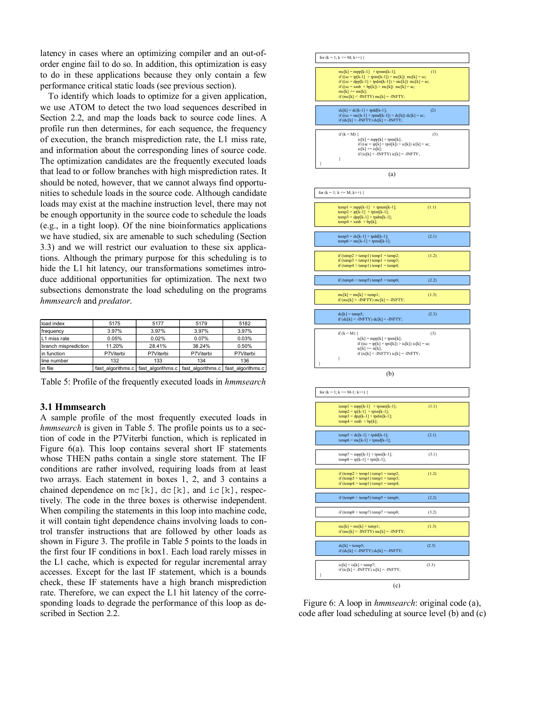latency in cases where an optimizing compiler and an out-oforder engine fail to do so. In addition, this optimization is easy to do in these applications because they only contain a few performance critical static loads (see previous section).

To identify which loads to optimize for a given application, we use ATOM to detect the two load sequences described in Section 2.2, and map the loads back to source code lines. A profile run then determines, for each sequence, the frequency of execution, the branch misprediction rate, the L1 miss rate, and information about the corresponding lines of source code. The optimization candidates are the frequently executed loads that lead to or follow branches with high misprediction rates. It should be noted, however, that we cannot always find opportunities to schedule loads in the source code. Although candidate loads may exist at the machine instruction level, there may not be enough opportunity in the source code to schedule the loads (e.g., in a tight loop). Of the nine bioinformatics applications we have studied, six are amenable to such scheduling (Section 3.3) and we will restrict our evaluation to these six applications. Although the primary purpose for this scheduling is to hide the L1 hit latency, our transformations sometimes introduce additional opportunities for optimization. The next two subsections demonstrate the load scheduling on the programs *hmmsearch* and *predator*.

| load index           | 5175              | 5177      | 5179                                                  | 5182      |
|----------------------|-------------------|-----------|-------------------------------------------------------|-----------|
| frequency            | 3.97%             | 3.97%     | 3.97%                                                 | 3.97%     |
| L1 miss rate         | 0.05%             | 0.02%     | 0.07%                                                 | 0.03%     |
| branch misprediction | 11.20%            | 28.41%    | 38.24%                                                | 0.50%     |
| in function          | P7Viterbi         | P7Viterbi | P7Viterbi                                             | P7Viterbi |
| line number          | 132               | 133       | 134                                                   | 136       |
| in file              | fast algorithms.c |           | fast algorithms.c fast algorithms.c fast algorithms.c |           |

Table 5: Profile of the frequently executed loads in *hmmsearch* 

### **3.1 Hmmsearch**

A sample profile of the most frequently executed loads in *hmmsearch* is given in Table 5. The profile points us to a section of code in the P7Viterbi function, which is replicated in Figure 6(a). This loop contains several short IF statements whose THEN paths contain a single store statement. The IF conditions are rather involved, requiring loads from at least two arrays. Each statement in boxes 1, 2, and 3 contains a chained dependence on  $mc[k]$ ,  $dc[k]$ , and  $ic[k]$ , respectively. The code in the three boxes is otherwise independent. When compiling the statements in this loop into machine code, it will contain tight dependence chains involving loads to control transfer instructions that are followed by other loads as shown in Figure 3. The profile in Table 5 points to the loads in the first four IF conditions in box1. Each load rarely misses in the L1 cache, which is expected for regular incremental array accesses. Except for the last IF statement, which is a bounds check, these IF statements have a high branch misprediction rate. Therefore, we can expect the L1 hit latency of the corresponding loads to degrade the performance of this loop as described in Section 2.2.



Figure 6: A loop in *hmmsearch*: original code (a), code after load scheduling at source level (b) and (c)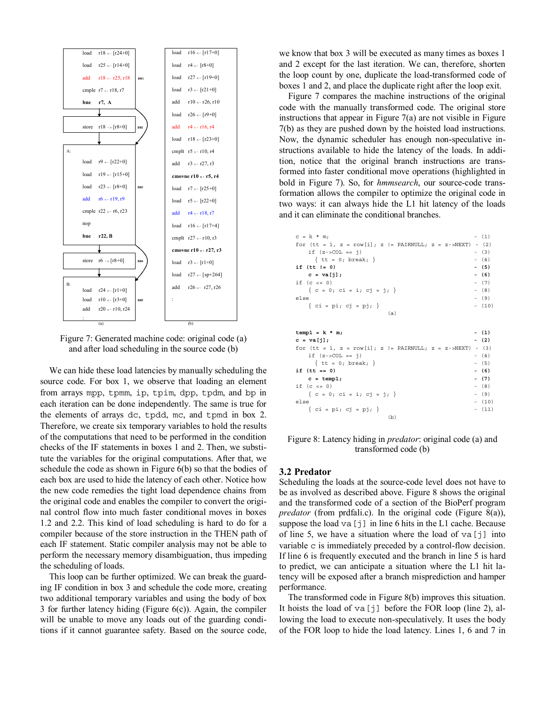

Figure 7: Generated machine code: original code (a) and after load scheduling in the source code (b)

We can hide these load latencies by manually scheduling the source code. For box 1, we observe that loading an element from arrays mpp, tpmm, ip, tpim, dpp, tpdm, and bp in each iteration can be done independently. The same is true for the elements of arrays dc, tpdd, mc, and tpmd in box 2. Therefore, we create six temporary variables to hold the results of the computations that need to be performed in the condition checks of the IF statements in boxes 1 and 2. Then, we substitute the variables for the original computations. After that, we schedule the code as shown in Figure 6(b) so that the bodies of each box are used to hide the latency of each other. Notice how the new code remedies the tight load dependence chains from the original code and enables the compiler to convert the original control flow into much faster conditional moves in boxes 1.2 and 2.2. This kind of load scheduling is hard to do for a compiler because of the store instruction in the THEN path of each IF statement. Static compiler analysis may not be able to perform the necessary memory disambiguation, thus impeding the scheduling of loads.

This loop can be further optimized. We can break the guarding IF condition in box 3 and schedule the code more, creating two additional temporary variables and using the body of box 3 for further latency hiding (Figure 6(c)). Again, the compiler will be unable to move any loads out of the guarding conditions if it cannot guarantee safety. Based on the source code,

we know that box 3 will be executed as many times as boxes 1 and 2 except for the last iteration. We can, therefore, shorten the loop count by one, duplicate the load-transformed code of boxes 1 and 2, and place the duplicate right after the loop exit.

Figure 7 compares the machine instructions of the original code with the manually transformed code. The original store instructions that appear in Figure 7(a) are not visible in Figure 7(b) as they are pushed down by the hoisted load instructions. Now, the dynamic scheduler has enough non-speculative instructions available to hide the latency of the loads. In addition, notice that the original branch instructions are transformed into faster conditional move operations (highlighted in bold in Figure 7). So, for *hmmsearch*, our source-code transformation allows the compiler to optimize the original code in two ways: it can always hide the L1 hit latency of the loads and it can eliminate the conditional branches.

| $c = k * m$                                                | $- (1)$  |
|------------------------------------------------------------|----------|
| for (tt = 1, z = row[i]; z != PAIRNULL; z = z->NEXT) - (2) |          |
| if $(z - > COL == i)$                                      | $-$ (3)  |
| $\{ \text{tt} = 0; \text{break}; \}$                       | $- (4)$  |
| if $(tt != 0)$                                             | - (5)    |
| $c = va[i];$                                               | $- (6)$  |
| if $(c \le 0)$                                             | $- (7)$  |
| $\{ c = 0; ci = i; cj = j; \}$                             | $-$ (8)  |
| else                                                       | - (9)    |
| $\{ci = pi; cj = pj; \}$                                   | $- (10)$ |
| (a)                                                        |          |
|                                                            |          |
|                                                            |          |
| $temp1 = k * m$                                            | - (1)    |

| сещр⊥ = к ^ щ;                                             | - 11     |
|------------------------------------------------------------|----------|
| $c = va[i];$                                               | $-$ (2)  |
| for (tt = 1, z = row[i]; z != PAIRNULL; z = z->NEXT) - (3) |          |
| if $(z->COL == i)$                                         | $- (4)$  |
| $\{ \text{tt} = 0; \text{break}; \}$                       | $- (5)$  |
| if $(tt == 0)$                                             | - (6)    |
| $c = temp1;$                                               | $- (7)$  |
| if $(c \le 0)$                                             | $-$ (8)  |
| $\{c = 0; ci = i; cj = j; \}$                              | - (9)    |
| else                                                       | $- (10)$ |
| $\{ci = pi; cj = pj; \}$                                   | $- (11)$ |
| (b)                                                        |          |

Figure 8: Latency hiding in *predator*: original code (a) and transformed code (b)

### **3.2 Predator**

Scheduling the loads at the source-code level does not have to be as involved as described above. Figure 8 shows the original and the transformed code of a section of the BioPerf program *predator* (from prdfali.c). In the original code (Figure 8(a)), suppose the load  $va[j]$  in line 6 hits in the L1 cache. Because of line 5, we have a situation where the load of  $va[j]$  into variable c is immediately preceded by a control-flow decision. If line 6 is frequently executed and the branch in line 5 is hard to predict, we can anticipate a situation where the L1 hit latency will be exposed after a branch misprediction and hamper performance.

The transformed code in Figure 8(b) improves this situation. It hoists the load of va[j] before the FOR loop (line 2), allowing the load to execute non-speculatively. It uses the body of the FOR loop to hide the load latency. Lines 1, 6 and 7 in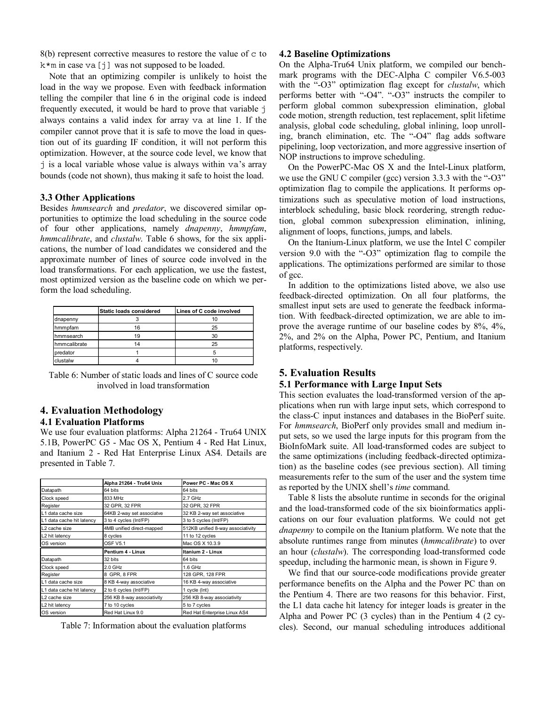$8(b)$  represent corrective measures to restore the value of  $\sigma$  to  $k*m$  in case va [j] was not supposed to be loaded.

Note that an optimizing compiler is unlikely to hoist the load in the way we propose. Even with feedback information telling the compiler that line 6 in the original code is indeed frequently executed, it would be hard to prove that variable j always contains a valid index for array va at line 1. If the compiler cannot prove that it is safe to move the load in question out of its guarding IF condition, it will not perform this optimization. However, at the source code level, we know that j is a local variable whose value is always within va's array bounds (code not shown), thus making it safe to hoist the load.

#### **3.3 Other Applications**

Besides *hmmsearch* and *predator*, we discovered similar opportunities to optimize the load scheduling in the source code of four other applications, namely *dnapenny*, *hmmpfam*, *hmmcalibrate*, and *clustalw*. Table 6 shows, for the six applications, the number of load candidates we considered and the approximate number of lines of source code involved in the load transformations. For each application, we use the fastest, most optimized version as the baseline code on which we perform the load scheduling.

|              | Static loads considered | Lines of C code involved |
|--------------|-------------------------|--------------------------|
| dnapenny     |                         | 10                       |
| hmmpfam      | 16                      | 25                       |
| hmmsearch    |                         | 30                       |
| hmmcalibrate |                         | 25                       |
| predator     |                         |                          |
| clustalw     |                         |                          |

Table 6: Number of static loads and lines of C source code involved in load transformation

# **4. Evaluation Methodology 4.1 Evaluation Platforms**

We use four evaluation platforms: Alpha 21264 - Tru64 UNIX 5.1B, PowerPC G5 - Mac OS X, Pentium 4 - Red Hat Linux, and Itanium 2 - Red Hat Enterprise Linux AS4. Details are presented in Table 7.

|                           | Alpha 21264 - Tru64 Unix   | Power PC - Mac OS X               |
|---------------------------|----------------------------|-----------------------------------|
| Datapath                  | 64 bits                    | 64 bits                           |
| Clock speed               | 833 MHz                    | 2.7 GHz                           |
| Register                  | 32 GPR, 32 FPR             | 32 GPR, 32 FPR                    |
| L1 data cache size        | 64KB 2-way set associatve  | 32 KB 2-way set associative       |
| L1 data cache hit latency | 3 to 4 cycles (Int/FP)     | 3 to 5 cycles (Int/FP)            |
| L2 cache size             | 4MB unified direct-mapped  | 512KB unified 8-way associativity |
| L2 hit latency            | 8 cycles                   | 11 to 12 cycles                   |
| OS version                | <b>OSF V5.1</b>            | Mac OS X 10.3.9                   |
|                           |                            |                                   |
|                           | Pentium 4 - Linux          | Itanium 2 - Linux                 |
| Datapath                  | 32 bits                    | 64 bits                           |
| Clock speed               | 2.0 GHz                    | $1.6$ GHz                         |
| Register                  | 8 GPR, 8 FPR               | 128 GPR, 128 FPR                  |
| L1 data cache size        | 8 KB 4-way associative     | 16 KB 4-way associative           |
| L1 data cache hit latency | 2 to 6 cycles (Int/FP)     | 1 cycle (Int)                     |
| L2 cache size             | 256 KB 8-way associativity | 256 KB 8-way associativity        |
| L2 hit latency            | 7 to 10 cycles             | 5 to 7 cycles                     |

Table 7: Information about the evaluation platforms

#### **4.2 Baseline Optimizations**

On the Alpha-Tru64 Unix platform, we compiled our benchmark programs with the DEC-Alpha C compiler V6.5-003 with the "-O3" optimization flag except for *clustalw*, which performs better with "-O4". "-O3" instructs the compiler to perform global common subexpression elimination, global code motion, strength reduction, test replacement, split lifetime analysis, global code scheduling, global inlining, loop unrolling, branch elimination, etc. The "-O4" flag adds software pipelining, loop vectorization, and more aggressive insertion of NOP instructions to improve scheduling.

On the PowerPC-Mac OS X and the Intel-Linux platform, we use the GNU C compiler (gcc) version 3.3.3 with the "-O3" optimization flag to compile the applications. It performs optimizations such as speculative motion of load instructions, interblock scheduling, basic block reordering, strength reduction, global common subexpression elimination, inlining, alignment of loops, functions, jumps, and labels.

On the Itanium-Linux platform, we use the Intel C compiler version 9.0 with the "-O3" optimization flag to compile the applications. The optimizations performed are similar to those of gcc.

In addition to the optimizations listed above, we also use feedback-directed optimization. On all four platforms, the smallest input sets are used to generate the feedback information. With feedback-directed optimization, we are able to improve the average runtime of our baseline codes by 8%, 4%, 2%, and 2% on the Alpha, Power PC, Pentium, and Itanium platforms, respectively.

### **5. Evaluation Results**

#### **5.1 Performance with Large Input Sets**

This section evaluates the load-transformed version of the applications when run with large input sets, which correspond to the class-C input instances and databases in the BioPerf suite. For *hmmsearch*, BioPerf only provides small and medium input sets, so we used the large inputs for this program from the BioInfoMark suite. All load-transformed codes are subject to the same optimizations (including feedback-directed optimization) as the baseline codes (see previous section). All timing measurements refer to the sum of the user and the system time as reported by the UNIX shell's *time* command.

Table 8 lists the absolute runtime in seconds for the original and the load-transformed code of the six bioinformatics applications on our four evaluation platforms. We could not get *dnapenny* to compile on the Itanium platform. We note that the absolute runtimes range from minutes (*hmmcalibrate*) to over an hour (*clustalw*). The corresponding load-transformed code speedup, including the harmonic mean, is shown in Figure 9.

We find that our source-code modifications provide greater performance benefits on the Alpha and the Power PC than on the Pentium 4. There are two reasons for this behavior. First, the L1 data cache hit latency for integer loads is greater in the Alpha and Power PC (3 cycles) than in the Pentium 4 (2 cycles). Second, our manual scheduling introduces additional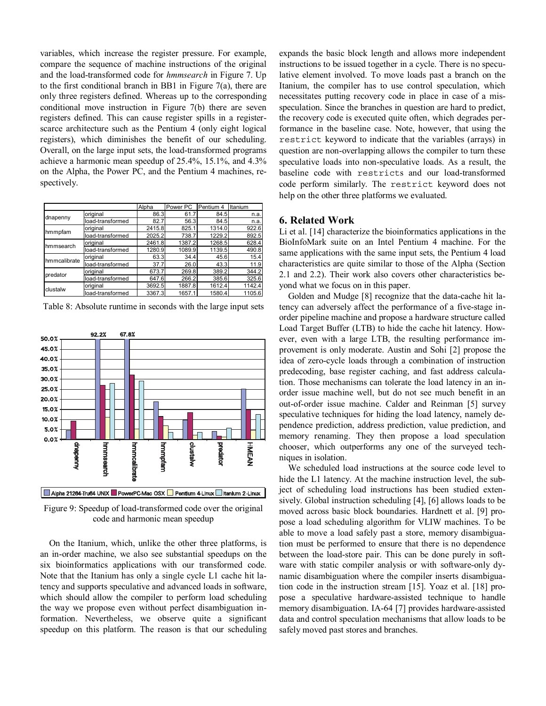variables, which increase the register pressure. For example, compare the sequence of machine instructions of the original and the load-transformed code for *hmmsearch* in Figure 7. Up to the first conditional branch in BB1 in Figure 7(a), there are only three registers defined. Whereas up to the corresponding conditional move instruction in Figure 7(b) there are seven registers defined. This can cause register spills in a registerscarce architecture such as the Pentium 4 (only eight logical registers), which diminishes the benefit of our scheduling. Overall, on the large input sets, the load-transformed programs achieve a harmonic mean speedup of 25.4%, 15.1%, and 4.3% on the Alpha, the Power PC, and the Pentium 4 machines, respectively.

|              |                  | Alpha  | Power PC | Pentium 4 | Itanium |
|--------------|------------------|--------|----------|-----------|---------|
| dnapenny     | original         | 86.3   | 61.7     | 84.5      | n.a.    |
|              | load-transformed | 82.7   | 56.3     | 84.5      | n.a.    |
| hmmpfam      | original         | 2415.8 | 825.1    | 1314.0    | 922.6   |
|              | load-transformed | 2025.2 | 738.7    | 1229.2    | 892.5   |
| hmmsearch    | original         | 2461.8 | 1387.2   | 1268.5    | 628.4   |
|              | load-transformed | 1280.9 | 1089.9   | 1139.5    | 490.8   |
| hmmcalibrate | original         | 63.3   | 34.4     | 45.6      | 15.4    |
|              | load-transformed | 37.7   | 26.0     | 43.3      | 11.9    |
| predator     | original         | 673.7  | 269.8    | 389.2     | 344.2   |
|              | load-transformed | 647.6  | 266.2    | 385.6     | 325.6   |
| clustalw     | original         | 3692.5 | 1887.8   | 1612.4    | 1142.4  |
|              | load-transformed | 3367.3 | 1657.1   | 1580.4    | 1105.6  |

Table 8: Absolute runtime in seconds with the large input sets



Figure 9: Speedup of load-transformed code over the original code and harmonic mean speedup

On the Itanium, which, unlike the other three platforms, is an in-order machine, we also see substantial speedups on the six bioinformatics applications with our transformed code. Note that the Itanium has only a single cycle L1 cache hit latency and supports speculative and advanced loads in software, which should allow the compiler to perform load scheduling the way we propose even without perfect disambiguation information. Nevertheless, we observe quite a significant speedup on this platform. The reason is that our scheduling expands the basic block length and allows more independent instructions to be issued together in a cycle. There is no speculative element involved. To move loads past a branch on the Itanium, the compiler has to use control speculation, which necessitates putting recovery code in place in case of a misspeculation. Since the branches in question are hard to predict, the recovery code is executed quite often, which degrades performance in the baseline case. Note, however, that using the restrict keyword to indicate that the variables (arrays) in question are non-overlapping allows the compiler to turn these speculative loads into non-speculative loads. As a result, the baseline code with restricts and our load-transformed code perform similarly. The restrict keyword does not help on the other three platforms we evaluated.

## **6. Related Work**

Li et al. [14] characterize the bioinformatics applications in the BioInfoMark suite on an Intel Pentium 4 machine. For the same applications with the same input sets, the Pentium 4 load characteristics are quite similar to those of the Alpha (Section 2.1 and 2.2). Their work also covers other characteristics beyond what we focus on in this paper.

Golden and Mudge [8] recognize that the data-cache hit latency can adversely affect the performance of a five-stage inorder pipeline machine and propose a hardware structure called Load Target Buffer (LTB) to hide the cache hit latency. However, even with a large LTB, the resulting performance improvement is only moderate. Austin and Sohi [2] propose the idea of zero-cycle loads through a combination of instruction predecoding, base register caching, and fast address calculation. Those mechanisms can tolerate the load latency in an inorder issue machine well, but do not see much benefit in an out-of-order issue machine. Calder and Reinman [5] survey speculative techniques for hiding the load latency, namely dependence prediction, address prediction, value prediction, and memory renaming. They then propose a load speculation chooser, which outperforms any one of the surveyed techniques in isolation.

We scheduled load instructions at the source code level to hide the L1 latency. At the machine instruction level, the subject of scheduling load instructions has been studied extensively. Global instruction scheduling [4], [6] allows loads to be moved across basic block boundaries. Hardnett et al. [9] propose a load scheduling algorithm for VLIW machines. To be able to move a load safely past a store, memory disambiguation must be performed to ensure that there is no dependence between the load-store pair. This can be done purely in software with static compiler analysis or with software-only dynamic disambiguation where the compiler inserts disambiguation code in the instruction stream [15]. Yoaz et al. [18] propose a speculative hardware-assisted technique to handle memory disambiguation. IA-64 [7] provides hardware-assisted data and control speculation mechanisms that allow loads to be safely moved past stores and branches.